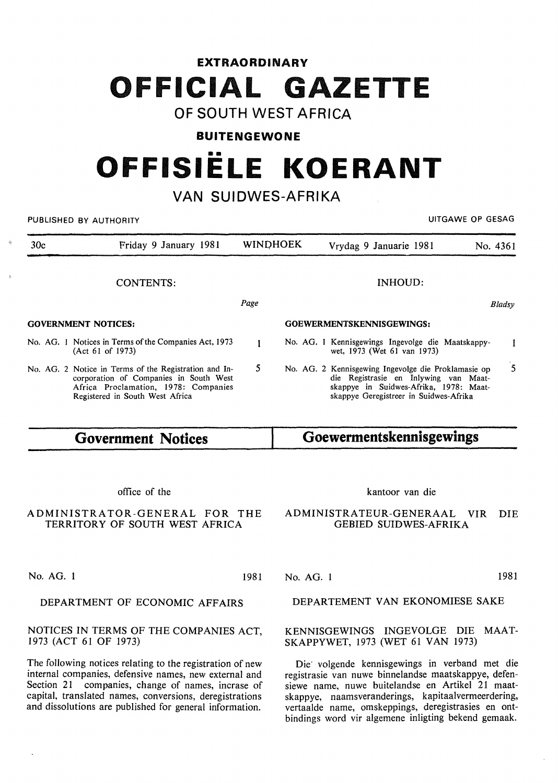## **EXTRAORDINARY OFFICIAL GAZETTE**

### **OF SOUTH WEST AFRICA**

#### **BUITENGEWONE**

# **OFFISIELE KOERANT**

### **VAN SUIDWES-AFRIKA**

| UITGAWE OP GESAG<br>PUBLISHED BY AUTHORITY                      |                                                                                                                                                                            |                           |                                 |                                                                                                                                                                                  |            |
|-----------------------------------------------------------------|----------------------------------------------------------------------------------------------------------------------------------------------------------------------------|---------------------------|---------------------------------|----------------------------------------------------------------------------------------------------------------------------------------------------------------------------------|------------|
| 30 <sub>c</sub>                                                 | Friday 9 January 1981                                                                                                                                                      | <b>WINDHOEK</b>           |                                 | Vrydag 9 Januarie 1981                                                                                                                                                           | No. 4361   |
|                                                                 | <b>CONTENTS:</b>                                                                                                                                                           |                           |                                 | INHOUD:                                                                                                                                                                          |            |
|                                                                 |                                                                                                                                                                            | Page                      |                                 |                                                                                                                                                                                  | Bladsy     |
| <b>GOVERNMENT NOTICES:</b>                                      |                                                                                                                                                                            | GOEWERMENTSKENNISGEWINGS: |                                 |                                                                                                                                                                                  |            |
|                                                                 | No. AG. 1 Notices in Terms of the Companies Act, 1973<br>(Act 61 of 1973)                                                                                                  | $\mathbf{I}$              |                                 | No. AG. 1 Kennisgewings Ingevolge die Maatskappy-<br>wet, 1973 (Wet 61 van 1973)                                                                                                 | 1          |
|                                                                 | No. AG. 2 Notice in Terms of the Registration and In-<br>corporation of Companies in South West<br>Africa Proclamation, 1978: Companies<br>Registered in South West Africa | 5                         |                                 | No. AG. 2 Kennisgewing Ingevolge die Proklamasie op<br>die Registrasie en Inlywing van Maat-<br>skappye in Suidwes-Afrika, 1978: Maat-<br>skappye Geregistreer in Suidwes-Afrika | 5          |
| <b>Government Notices</b>                                       |                                                                                                                                                                            |                           | <b>Goewermentskennisgewings</b> |                                                                                                                                                                                  |            |
|                                                                 | office of the                                                                                                                                                              |                           |                                 | kantoor van die                                                                                                                                                                  |            |
| ADMINISTRATOR-GENERAL FOR THE<br>TERRITORY OF SOUTH WEST AFRICA |                                                                                                                                                                            |                           |                                 | ADMINISTRATEUR-GENERAAL<br><b>VIR</b><br><b>GEBIED SUIDWES-AFRIKA</b>                                                                                                            | <b>DIE</b> |

No. AG. 1 1981

#### DEPARTMENT OF ECONOMIC AFFAIRS

#### NOTICES IN TERMS OF THE COMPANIES ACT, 1973 (ACT 61 OF 1973)

The following notices relating to the registration of new internal companies, defensive names, new external and Section 21 companies, change of names, incrase of capital, translated names, conversions, deregistrations and dissolutions are published for general information.

No. AG. 1 1981

#### DEPARTEMENT VAN EKONOMIESE SAKE

#### KENNISGEWINGS INGEVOLGE DIE MAA T-SKAPPYWET, 1973 (WET 61 VAN 1973)

Die· volgende kennisgewings in verband met die registrasie van nuwe binnelandse maatskappye, defensiewe name, nuwe buitelandse en Artikel 21 maatskappye, naamsveranderings, kapitaalvermeerdering, vertaalde name, omskeppings, deregistrasies en ontbindings word vir algemene inligting bekend gemaak.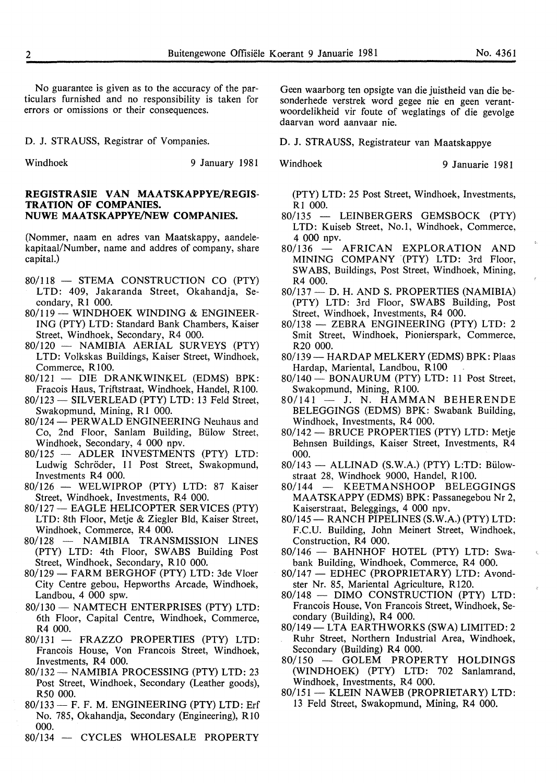No guarantee is given as to the accuracy of the particulars furnished and no responsibility is taken for errors or omissions or their consequences.

D. J. STRAUSS, Registrar of Vompanies.

Windhoek 9 January I981

#### REGISTRASIE VAN MAATSKAPPYE/REGIS-**TRATION OF COMPANIES. NUWE MAATSKAPPYE/NEW COMPANIES.**

(Nommer, naam en adres van Maatskappy, aandelekapitaal/Number, name and addres of company, share capital.)

- 80/118 STEMA CONSTRUCTION CO (PTY) LTD: 409, Jakaranda Street, Okahandja, Secondary, RI 000.
- 80/119 WINDHOEK WINDING & ENGINEER-ING (PTY) LTD: Standard Bank Chambers, Kaiser Street, Windhoek, Secondary, R4 000.
- 80/120 NAMIBIA AERIAL SURVEYS (PTY) LTD: Volkskas Buildings, Kaiser Street, Windhoek, Commerce, R100.
- 80/121 DIE DRANKWINKEL (EDMS) BPK: Fracois Haus, Triftstraat, Windhoek, Handel, R100.
- 80/123 SILVERLEAD (PTY) LTD: 13 Feld Street, Swakopmund, Mining, RI 000.
- 80/124 PERWALD ENGINEERING Neuhaus and Co, 2nd Floor, Sanlam Building, Biilow Street, Windhoek, Secondary, 4 000 npv.
- 80/125 ADLER INVESTMENTS (PTY) LTD: Ludwig Schroder, II Post Street, Swakopmund, Investments R4 000.
- 80/126 WELWIPROP (PTY) LTD: 87 Kaiser Street, Windhoek, Investments, R4 000.
- 80/127 EAGLE HELICOPTER SERVICES (PTY) LTD: 8th Floor, Metje & Ziegler Bid, Kaiser Street, Windhoek, Commerce, R4 000.
- 80/128 NAMIBIA TRANSMISSION LINES (PTY) LTD: 4th Floor, SWABS Building Post Street, Windhoek, Secondary, RIO 000.
- 80/129 FARM BERGHOF (PTY) LTD: 3de Vloer City Centre gebou, Hepworths Arcade, Windhoek, Landbou, 4 000 spw.
- 80/130- NAMTECH ENTERPRISES (PTY) LTD: 6th Floor, Capital Centre, Windhoek, Commerce, R4 000.
- 80/131 FRAZZO PROPERTIES (PTY) LTD: Francois House, Von Francois Street, Windhoek, Investments, R4 000.
- 80/132 NAMIBIA PROCESSING (PTY) LTD: 23 Post Street, Windhoek, Secondary (Leather goods), R50 000.
- 80/133 F. F. M. ENGINEERING (PTY) LTD: Erf No. 785, Okahandja, Secondary (Engineering), RIO 000.
- 80/134 CYCLES WHOLESALE PROPERTY

Geen waarborg ten opsigte van die juistheid van die besonderhede verstrek word gegee nie en geen verantwoordelikheid vir foute of weglatings of die gevolge daarvan word aanvaar nie.

D. J. STRAUSS, Registrateur van Maatskappye

Windhoek 9 Januarie 1981

(PTY) LTD: 25 Post Street, Windhoek, Investments, R1 000.

- 80/135 LEINBERGERS GEMSBOCK (PTY) LTD: Kuiseb Street, No.I, Windhoek, Commerce, 4 000 npv.
- 80/136 AFRICAN EXPLORATION AND MINING COMPANY (PTY) LTD: 3rd Floor, SWABS, Buildings, Post Street, Windhoek, Mining, R4 000.
- 80/137 D. H. AND S. PROPERTIES (NAMIBIA) (PTY) LTD: 3rd Floor, SWABS Building, Post Street, Windhoek, Investments, R4 000.
- 80/138 ZEBRA ENGINEERING (PTY) LTD: 2 Smit Street, Windhoek, Pionierspark, Commerce, R20 000.
- 80/139 HARDAP MELKERY (EDMS) BPK: Plaas Hardap, Mariental, Landbou, R100
- 80/140 BONAURUM (PTY) LTD: 11 Post Street, Swakopmund, Mining, RIOO.
- $80/141 J$ . N. HAMMAN BEHERENDE BELEGGINGS (EDMS) BPK: Swabank Building, Windhoek, Investments, R4 000.
- 80/142 BRUCE PROPERTIES (PTY) LTD: Metje Behnsen Buildings, Kaiser Street, Investments, R4 000.
- 80/143- ALLINAD (S.W.A.) (PTY) L:TD: Biilowstraat 28, Windhoek 9000, Handel, RIOO.
- 80/144 KEETMANSHOOP BELEGGINGS MAATSKAPPY (EDMS) BPK: Passanegebou Nr 2, Kaiserstraat, Beleggings, 4 000 npv.
- 80/145 RANCH PIPELINES (S.W.A.) (PTY) LTD: F.C.U. Building, John Meinert Street, Windhoek, Construction, R4 000.
- 80/146 BAHNHOF HOTEL (PTY) LTD: Swabank Building, Windhoek, Commerce, R4 000.
- 80/147 EDHEC (PROPRIETARY) LTD: Avondster Nr. 85, Mariental Agriculture, R120.
- 80/148 DIMO CONSTRUCTION (PTY) LTD: Francois House, Von Francois Street, Windhoek, Secondary (Building), R4 000.
- 80/149 LTA EARTHWORKS (SWA) LIMITED: 2 Ruhr Street, Northern Industrial Area, Windhoek, Secondary (Building) R4 000.
- 80/150 GOLEM PROPERTY HOLDINGS (WINDHOEK) (PTY) LTD: 702 Sanlamrand, Windhoek, Investments, R4 000.
- 80/151 KLEIN NAWEB (PROPRIETARY) LTD: 13 Feld Street, Swakopmund, Mining, R4 000.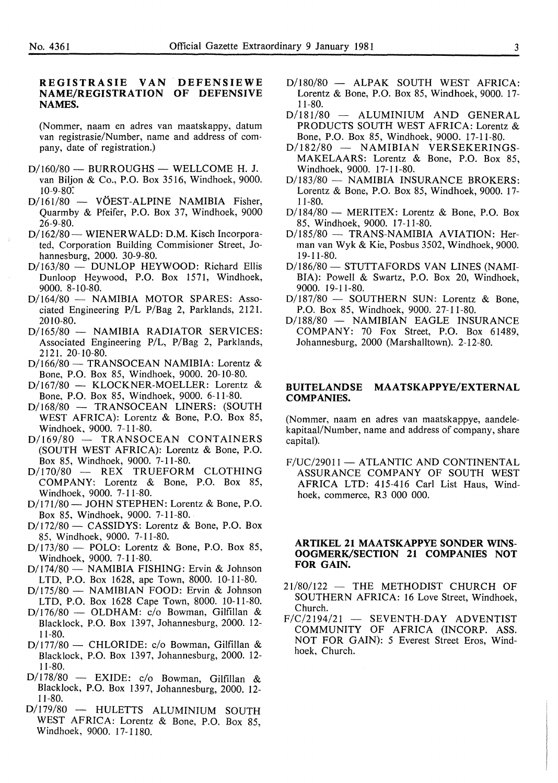#### REGISTRASIE VAN DEFENSIEWE NAME/REGISTRATION OF DEFENSIVE NAMES.

(Nommer, naam en adres van maatskappy, datum van registrasie/Number, name and address of company, date of registration.)

- $D/160/80$  BURROUGHS WELLCOME H. J. van Biljon & Co., P.O. Box 3516, Windhoek, 9000. 10-9-80:
- D/161/80 VÖEST-ALPINE NAMIBIA Fisher, Quarmby & Pfeifer, P.O. Box 37, Windhoek, 9000 26-9-80.
- D/162/80 WIENERWALD: D.M. Kisch Incorporated, Corporation Building Commisioner Street, Johannesburg, 2000. 30-9-80.
- D/163/80 DUNLOP HEYWOOD: Richard Ellis Dunloop Heywood, P.O. Box 1571, Windhoek, 9000. 8-10-80.
- D/164/80 NAMIBIA MOTOR SPARES: Associated Engineering P/L P/Bag 2, Parklands, 2121. 2010-80.
- D/165/80 NAMIBIA RADIATOR SERVICES: Associated Engineering P/L, P/Bag 2, Parklands, 2121. 20-10-80.
- D/166/80 TRANSOCEAN NAMIBIA: Lorentz & Bone, P.O. Box 85, Windhoek, 9000. 20-10-80.
- D/167/80 KLOCKNER-MOELLER: Lorentz & Bone, P.O. Box 85, Windhoek, 9000. 6-11-80.
- D/168/80 TRANSOCEAN LINERS: (SOUTH WEST AFRICA): Lorentz & Bone, P.O. Box 85, Windhoek, 9000. 7-11-80.
- D/169/80 TRANSOCEAN CONTAINERS (SOUTH WEST AFRICA): Lorentz & Bone, P.O. Box 85, Windhoek, 9000. 7-11-80.
- D/170/80 REX TRUEFORM CLOTHING COMPANY: Lorentz & Bone, P.O. Box 85, Windhoek, 9000. 7-11-80.
- D/171/80 JOHN STEPHEN: Lorentz & Bone, P.O. Box 85, Windhoek, 9000. 7-11-80.
- D/172/80 CASSIDYS: Lorentz & Bone, P.O. Box 85, Windhoek, 9000. 7-11-80.
- $D/173/80$  POLO: Lorentz & Bone, P.O. Box 85, Windhoek, 9000. 7-11-80.
- D/174/80 NAMIBIA FISHING: Ervin & Johnson LTD, P.O. Box 1628, ape Town, 8000. 10-11-80.
- D/175/80 NAMIBIAN FOOD: Ervin & Johnson LTD, P.O. Box 1628 Cape Town, 8000. 10-11-80.
- $D/176/80$  OLDHAM: c/o Bowman, Gilfillan & Blacklock, P.O. Box 1397, Johannesburg, 2000. 12- 11-80.
- D/177/80 CHLORIDE: c/o Bowman, Gilfillan & Blacklock, P.O. Box 1397, Johannesburg, 2000. 12- 11-80.
- D/178/80 EXIDE: c/o Bowman, Gilfillan & Blacklock, P.O. Box 1397, Johannesburg, 2000. 12- 11-80.
- D/179/80 HULETTS ALUMINIUM SOUTH WEST AFRICA: Lorentz & Bone, P.O. Box 85, Windhoek, 9000. 17-1180.
- D/180/80 ALPAK SOUTH WEST AFRICA: Lorentz & Bone, P.O. Box 85, Windhoek, 9000. 17- 11-80.
- $D/181/80$  ALUMINIUM AND GENERAL PRODUCTS SOUTH WEST AFRICA: Lorentz & Bone, P.O. Box 85, Windhoek, 9000. 17-11-80.
- D/182/80 NAMIBIAN VERSEKERINGS-MAKELAARS: Lorentz & Bone, P.O. Box 85, Windhoek, 9000. 17-11-80.
- D/183/80 NAMIBIA INSURANCE BROKERS: Lorentz & Bone, P.O. Box 85, Windhoek, 9000. 17- 11-80.
- D/184/80 MERITEX: Lorentz & Bone, P.O. Box 85, Windhoek, 9000. 17-11-80.
- $D/185/80$  TRANS-NAMIBIA AVIATION: Herman van Wyk & Kie, Posbus 3502, Windhoek, 9000. 19-11-80.
- D/186/80 STUTTAFORDS VAN LINES (NAMI-BIA): Powell & Swartz, P.O. Box 20, Windhoek, 9000. 19-11-80.
- D/187/80 SOUTHERN SUN: Lorentz & Bone, P.O. Box 85, Windhoek, 9000. 27-11-80.
- D/188/80 NAMIBIAN EAGLE INSURANCE COMPANY: 70 Fox Street, P.O. Box 61489, Johannesburg, 2000 (Marshalltown). 2-12-80.

#### BUITELANDSE MAATSKAPPYE/EXTERNAL COMPANIES.

(Nommer, naam en adres van maatskappye, aandelekapitaal/Number, name and address of company, share capital).

F/UC/29011 - ATLANTIC AND CONTINENTAL ASSURANCE COMPANY OF SOUTH WEST AFRICA LTD: 415-416 Carl List Haus, Windhoek, commerce, R3 000 000.

#### ARTIKEL 21 MAATSKAPPYE SONDER WINS-OOGMERK/SECTION 21 COMPANIES NOT FOR GAIN.

- $21/80/122$  THE METHODIST CHURCH OF SOUTHERN AFRICA: 16 Love Street, Windhoek, Church.
- $F/C/2194/21 SEVENTH-DAY ADVENTIST$ COMMUNITY OF AFRICA (INCORP. ASS. NOT FOR GAIN): 5 Everest Street Eros, Windhoek, Church.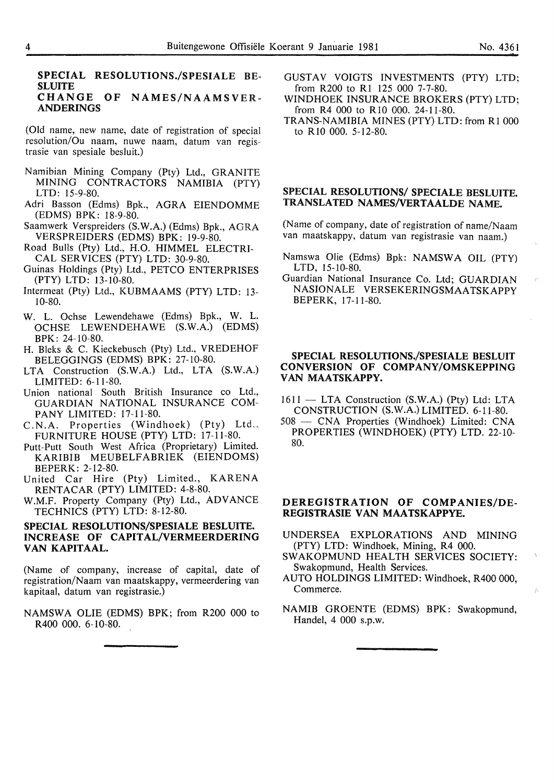#### SPECIAL RESOLUTIONS./SPESIALE BE-**SLUITE** CHANGE OF NAMES/NAAMSVER-ANDERINGS

(Old name, new name, date of registration of special resolution/Ou naam, nuwe naam, datum van registrasie van spesiale besluit.)

- Namibian Mining Company (Pty) Ltd., GRANITE MINING CONTRACTORS NAMIBIA (PTY) LTD: 15-9-80.
- Adri Basson (Edms) Bpk., AGRA EIENDOMME (EDMS) BPK: 18-9-80.
- Saamwerk Verspreiders (S.W.A.) (Edms) Bpk., AGRA VERSPREIDERS (EDMS) BPK: 19-9-80.
- Road Bulls (Pty) Ltd., H.O. HIMMEL ELECTRI-CAL SERVICES (PTY) LTD: 30-9-80.
- Guinas Holdings (Pty) Ltd., PETCO ENTERPRISES (PTY) LTD: 13-10-80.
- Intermeat (Pty) Ltd., KUBMAAMS (PTY) LTD: 13- 10-80.
- W. L. Ochse Lewendehawe (Edms) Bpk., W. L. OCHSE LEWENDEHA WE (S.W.A.) (EDMS) BPK: 24-10-80.
- H. Bleks & C. Kieckebusch (Pty) Ltd., VREDEHOF BELEGGINGS (EDMS) BPK: 27-10-80.
- LTA Construction (S.W.A.) Ltd., LTA (S.W.A.) LIMITED: 6-11-80.
- Union national South British Insurance co Ltd., GUARDIAN NATIONAL INSURANCE COMpANY LIMITED: 17-11-80.
- C.N.A. Properties (Windhoek) (Pty) Ltd., FURNITURE HOUSE (PTY) LTD: 17-11-80.
- Putt-Putt South West Africa (Proprietary) Limited. KARIBIB MEUBELFABRIEK (EIENDOMS) BEPERK: 2-12-80.
- United Car Hire (Pty) Limited., KARENA RENTACAR (PTY) LIMITED: 4-8-80.
- W.M.F. Property Company (Pty) Ltd., ADVANCE TECHNICS (PTY) LTD: 8-12-80.

#### SPECIAL RESOLUTIONS/SPESIALE BESLUITE. INCREASE OF CAPITAL/VERMEERDERING VAN KAPITAAL.

(Name of company, increase of capital, date of registration/Naam van maatskappy, vermeerdering van kapitaal, datum van registrasie.)

NAMSWA OLIE (EDMS) BPK; from R200 000 to R400 000. 6-10-80.

- GUSTAV VOIGTS INVESTMENTS (PTY) LTD; from R200 to R1 125 000 7-7-80.
- WINDHOEK INSURANCE BROKERS (PTY) LTD; from R4 000 to R 10 000. 24-11-80.
- TRANS-NAMIBIA MINES (PTY) LTD: from R1 000 to RIO 000. 5-12-80.

#### SPECIAL RESOLUTIONS/ SPECIALE BESLUITE. TRANSLATED NAMES/VERTAALDE NAME.

(Name of company, date of registration of name/Naam van maatskappy, datum van registrasie van naam.)

- Namswa Olie (Edms) Bpk: NAMSWA OIL (PTY) LTD, 15-10-80.
- Guardian National Insurance Co. Ltd; GUARDIAN NASIONALE VERSEKERINGSMAATSKAPPY BEPERK, 17-11-80.

#### SPECIAL RESOLUTIONS./SPESIALE BESLUIT CONVERSION OF COMPANY/OMSKEPPING VAN MAATSKAPPY.

- $1611 LTA$  Construction (S.W.A.) (Ptv) Ltd: LTA CONSTRUCTION (S.W.A.) LIMITED. 6-11-80.
- 508 CNA Properties (Windhoek) Limited: CNA PROPERTIES (WINDHOEK) (PTY) LTD. 22-10- 80.

#### DEREGISTRATION OF COMPANIES/DE-REGISTRASIE VAN MAATSKAPPYE.

- UNDERSEA EXPLORATIONS AND MINING (PTY) LTD: Windhoek, Mining, R4 000.
- SWAKOPMUND HEALTH SERVICES SOCIETY: Swakopmund, Health Services.
- AUTO HOLDINGS LIMITED: Windhoek, R400 000, Commerce.
- NAMIB GROENTE (EDMS) BPK: Swakopmund, Handel, 4 000 s.p.w.